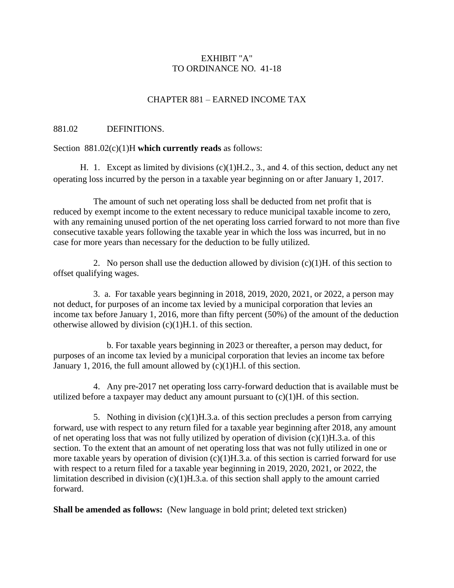# EXHIBIT "A" TO ORDINANCE NO. 41-18

# CHAPTER 881 – EARNED INCOME TAX

## 881.02 DEFINITIONS.

#### Section 881.02(c)(1)H **which currently reads** as follows:

H. 1. Except as limited by divisions (c)(1)H.2., 3., and 4. of this section, deduct any net operating loss incurred by the person in a taxable year beginning on or after January 1, 2017.

The amount of such net operating loss shall be deducted from net profit that is reduced by exempt income to the extent necessary to reduce municipal taxable income to zero, with any remaining unused portion of the net operating loss carried forward to not more than five consecutive taxable years following the taxable year in which the loss was incurred, but in no case for more years than necessary for the deduction to be fully utilized.

2. No person shall use the deduction allowed by division  $(c)(1)H$ . of this section to offset qualifying wages.

3. a. For taxable years beginning in 2018, 2019, 2020, 2021, or 2022, a person may not deduct, for purposes of an income tax levied by a municipal corporation that levies an income tax before January 1, 2016, more than fifty percent (50%) of the amount of the deduction otherwise allowed by division (c)(1)H.1. of this section.

b. For taxable years beginning in 2023 or thereafter, a person may deduct, for purposes of an income tax levied by a municipal corporation that levies an income tax before January 1, 2016, the full amount allowed by (c)(1)H.l. of this section.

4. Any pre-2017 net operating loss carry-forward deduction that is available must be utilized before a taxpayer may deduct any amount pursuant to  $(c)(1)H$ . of this section.

5. Nothing in division (c)(1)H.3.a. of this section precludes a person from carrying forward, use with respect to any return filed for a taxable year beginning after 2018, any amount of net operating loss that was not fully utilized by operation of division (c)(1)H.3.a. of this section. To the extent that an amount of net operating loss that was not fully utilized in one or more taxable years by operation of division (c)(1)H.3.a. of this section is carried forward for use with respect to a return filed for a taxable year beginning in 2019, 2020, 2021, or 2022, the limitation described in division (c)(1)H.3.a. of this section shall apply to the amount carried forward.

**Shall be amended as follows:** (New language in bold print; deleted text stricken)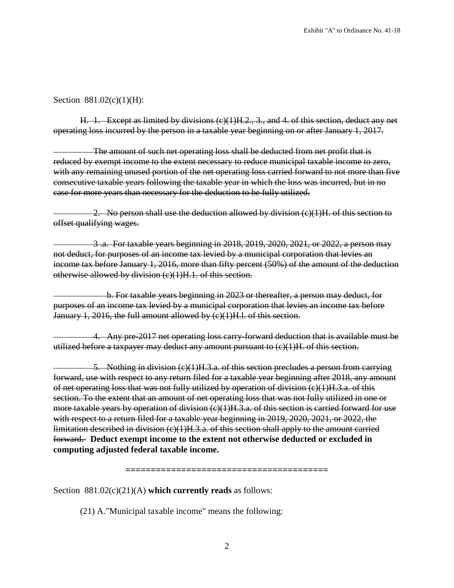## Section 881.02(c)(1)(H):

H. 1. Except as limited by divisions (c)(1)H.2., 3., and 4. of this section, deduct any net operating loss incurred by the person in a taxable year beginning on or after January 1, 2017.

The amount of such net operating loss shall be deducted from net profit that is reduced by exempt income to the extent necessary to reduce municipal taxable income to zero, with any remaining unused portion of the net operating loss carried forward to not more than five consecutive taxable years following the taxable year in which the loss was incurred, but in no case for more years than necessary for the deduction to be fully utilized.

2. No person shall use the deduction allowed by division  $(c)(1)H$ , of this section to offset qualifying wages.

3 .a. For taxable years beginning in 2018, 2019, 2020, 2021, or 2022, a person may not deduct, for purposes of an income tax levied by a municipal corporation that levies an income tax before January 1, 2016, more than fifty percent (50%) of the amount of the deduction otherwise allowed by division (c)(1)H.1. of this section.

b. For taxable years beginning in 2023 or thereafter, a person may deduct, for purposes of an income tax levied by a municipal corporation that levies an income tax before January 1, 2016, the full amount allowed by  $(c)(1)$ H.l. of this section.

4. Any pre-2017 net operating loss carry-forward deduction that is available must be utilized before a taxpayer may deduct any amount pursuant to (c)(1)H. of this section.

5. Nothing in division (c)(1)H.3.a. of this section precludes a person from carrying forward, use with respect to any return filed for a taxable year beginning after 2018, any amount of net operating loss that was not fully utilized by operation of division (c)(1)H.3.a. of this section. To the extent that an amount of net operating loss that was not fully utilized in one or more taxable years by operation of division (c)(1)H.3.a. of this section is carried forward for use with respect to a return filed for a taxable year beginning in 2019, 2020, 2021, or 2022, the limitation described in division (c)(1)H.3.a. of this section shall apply to the amount carried forward. **Deduct exempt income to the extent not otherwise deducted or excluded in computing adjusted federal taxable income.**

**========================================**

Section 881.02(c)(21)(A) **which currently reads** as follows:

(21) A."Municipal taxable income" means the following: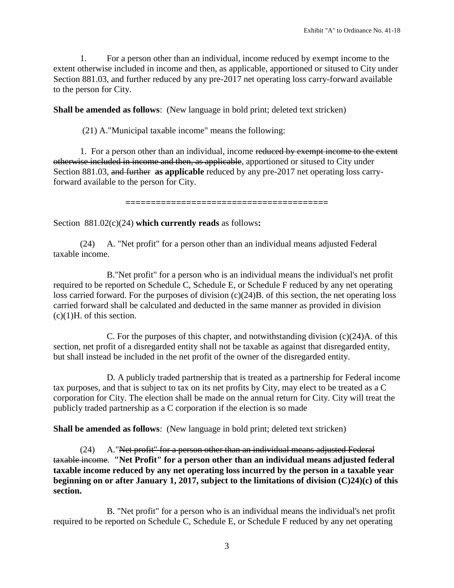1. For a person other than an individual, income reduced by exempt income to the extent otherwise included in income and then, as applicable, apportioned or sitused to City under Section 881.03, and further reduced by any pre-2017 net operating loss carry-forward available to the person for City.

**Shall be amended as follows**: (New language in bold print; deleted text stricken)

(21) A."Municipal taxable income" means the following:

1. For a person other than an individual, income reduced by exempt income to the extent otherwise included in income and then, as applicable, apportioned or sitused to City under Section 881.03, and further **as applicable** reduced by any pre-2017 net operating loss carryforward available to the person for City.

**========================================**

Section 881.02(c)(24) **which currently reads** as follows**:**

(24) A. "Net profit" for a person other than an individual means adjusted Federal taxable income.

B."Net profit" for a person who is an individual means the individual's net profit required to be reported on Schedule C, Schedule E, or Schedule F reduced by any net operating loss carried forward. For the purposes of division (c)(24)B. of this section, the net operating loss carried forward shall be calculated and deducted in the same manner as provided in division (c)(1)H. of this section.

C. For the purposes of this chapter, and notwithstanding division (c)(24)A. of this section, net profit of a disregarded entity shall not be taxable as against that disregarded entity, but shall instead be included in the net profit of the owner of the disregarded entity.

D. A publicly traded partnership that is treated as a partnership for Federal income tax purposes, and that is subject to tax on its net profits by City, may elect to be treated as a C corporation for City. The election shall be made on the annual return for City. City will treat the publicly traded partnership as a C corporation if the election is so made

**Shall be amended as follows**: (New language in bold print; deleted text stricken)

(24) A."Net profit" for a person other than an individual means adjusted Federal taxable income. **"Net Profit" for a person other than an individual means adjusted federal taxable income reduced by any net operating loss incurred by the person in a taxable year beginning on or after January 1, 2017, subject to the limitations of division (C)24)(c) of this section.**

B. "Net profit" for a person who is an individual means the individual's net profit required to be reported on Schedule C, Schedule E, or Schedule F reduced by any net operating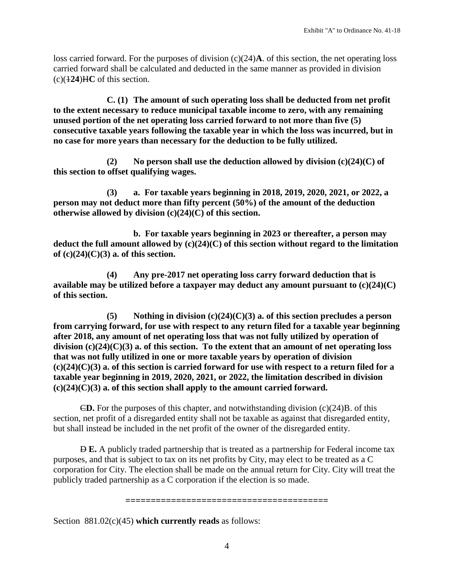loss carried forward. For the purposes of division (c)(24)**A**. of this section, the net operating loss carried forward shall be calculated and deducted in the same manner as provided in division  $(c)(124)$ HC of this section.

**C. (1) The amount of such operating loss shall be deducted from net profit to the extent necessary to reduce municipal taxable income to zero, with any remaining unused portion of the net operating loss carried forward to not more than five (5) consecutive taxable years following the taxable year in which the loss was incurred, but in no case for more years than necessary for the deduction to be fully utilized.**

**(2) No person shall use the deduction allowed by division (c)(24)(C) of this section to offset qualifying wages.**

**(3) a. For taxable years beginning in 2018, 2019, 2020, 2021, or 2022, a person may not deduct more than fifty percent (50%) of the amount of the deduction otherwise allowed by division (c)(24)(C) of this section.**

**b. For taxable years beginning in 2023 or thereafter, a person may deduct the full amount allowed by (c)(24)(C) of this section without regard to the limitation of (c)(24)(C)(3) a. of this section.**

**(4) Any pre-2017 net operating loss carry forward deduction that is available may be utilized before a taxpayer may deduct any amount pursuant to (c)(24)(C) of this section.**

**(5) Nothing in division (c)(24)(C)(3) a. of this section precludes a person from carrying forward, for use with respect to any return filed for a taxable year beginning after 2018, any amount of net operating loss that was not fully utilized by operation of division (c)(24)(C)(3) a. of this section. To the extent that an amount of net operating loss that was not fully utilized in one or more taxable years by operation of division (c)(24)(C)(3) a. of this section is carried forward for use with respect to a return filed for a taxable year beginning in 2019, 2020, 2021, or 2022, the limitation described in division (c)(24)(C)(3) a. of this section shall apply to the amount carried forward.**

 $\epsilon$ D. For the purposes of this chapter, and notwithstanding division (c)(24)B. of this section, net profit of a disregarded entity shall not be taxable as against that disregarded entity, but shall instead be included in the net profit of the owner of the disregarded entity.

D **E.** A publicly traded partnership that is treated as a partnership for Federal income tax purposes, and that is subject to tax on its net profits by City, may elect to be treated as a C corporation for City. The election shall be made on the annual return for City. City will treat the publicly traded partnership as a C corporation if the election is so made.

**========================================**

Section 881.02(c)(45) **which currently reads** as follows: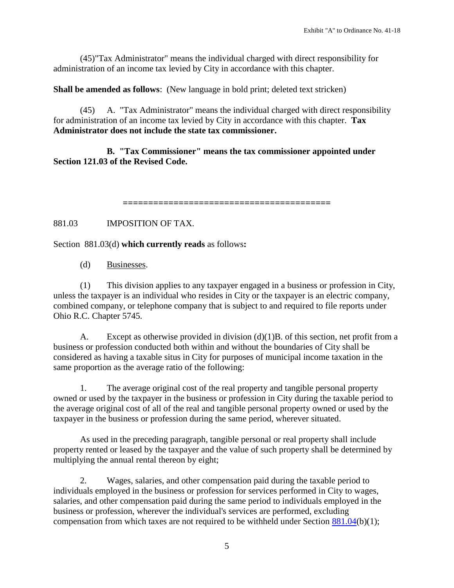(45)"Tax Administrator" means the individual charged with direct responsibility for administration of an income tax levied by City in accordance with this chapter.

**Shall be amended as follows**: (New language in bold print; deleted text stricken)

(45) A. "Tax Administrator" means the individual charged with direct responsibility for administration of an income tax levied by City in accordance with this chapter. **Tax Administrator does not include the state tax commissioner.**

**B. "Tax Commissioner" means the tax commissioner appointed under Section 121.03 of the Revised Code.**

**=========================================**

881.03 IMPOSITION OF TAX.

Section 881.03(d) **which currently reads** as follows**:**

(d) Businesses.

(1) This division applies to any taxpayer engaged in a business or profession in City, unless the taxpayer is an individual who resides in City or the taxpayer is an electric company, combined company, or telephone company that is subject to and required to file reports under Ohio R.C. Chapter 5745.

A. Except as otherwise provided in division (d)(1)B. of this section, net profit from a business or profession conducted both within and without the boundaries of City shall be considered as having a taxable situs in City for purposes of municipal income taxation in the same proportion as the average ratio of the following:

1. The average original cost of the real property and tangible personal property owned or used by the taxpayer in the business or profession in City during the taxable period to the average original cost of all of the real and tangible personal property owned or used by the taxpayer in the business or profession during the same period, wherever situated.

As used in the preceding paragraph, tangible personal or real property shall include property rented or leased by the taxpayer and the value of such property shall be determined by multiplying the annual rental thereon by eight;

2. Wages, salaries, and other compensation paid during the taxable period to individuals employed in the business or profession for services performed in City to wages, salaries, and other compensation paid during the same period to individuals employed in the business or profession, wherever the individual's services are performed, excluding compensation from which taxes are not required to be withheld under Section [881.04\(](http://library.amlegal.com/nxt/gateway.dll?f=jumplink$jumplink_x=Advanced$jumplink_vpc=first$jumplink_xsl=querylink.xsl$jumplink_sel=title;path;content-type;home-title;item-bookmark$jumplink_d=ohio(avon_oh)$jumplink_q=%5bfield%20folio-destination-name:)b)(1);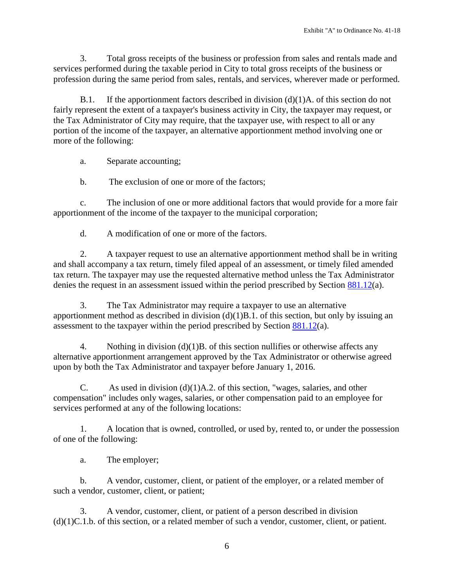3. Total gross receipts of the business or profession from sales and rentals made and services performed during the taxable period in City to total gross receipts of the business or profession during the same period from sales, rentals, and services, wherever made or performed.

B.1. If the apportionment factors described in division  $(d)(1)A$ . of this section do not fairly represent the extent of a taxpayer's business activity in City, the taxpayer may request, or the Tax Administrator of City may require, that the taxpayer use, with respect to all or any portion of the income of the taxpayer, an alternative apportionment method involving one or more of the following:

a. Separate accounting;

b. The exclusion of one or more of the factors;

c. The inclusion of one or more additional factors that would provide for a more fair apportionment of the income of the taxpayer to the municipal corporation;

d. A modification of one or more of the factors.

2. A taxpayer request to use an alternative apportionment method shall be in writing and shall accompany a tax return, timely filed appeal of an assessment, or timely filed amended tax return. The taxpayer may use the requested alternative method unless the Tax Administrator denies the request in an assessment issued within the period prescribed by Section [881.12\(](http://library.amlegal.com/nxt/gateway.dll?f=jumplink$jumplink_x=Advanced$jumplink_vpc=first$jumplink_xsl=querylink.xsl$jumplink_sel=title;path;content-type;home-title;item-bookmark$jumplink_d=ohio(avon_oh)$jumplink_q=%5bfield%20folio-destination-name:)a).

3. The Tax Administrator may require a taxpayer to use an alternative apportionment method as described in division  $(d)(1)B.1$ . of this section, but only by issuing an assessment to the taxpayer within the period prescribed by Section  $881.12(a)$ .

4. Nothing in division (d)(1)B. of this section nullifies or otherwise affects any alternative apportionment arrangement approved by the Tax Administrator or otherwise agreed upon by both the Tax Administrator and taxpayer before January 1, 2016.

C. As used in division  $(d)(1)A.2$ . of this section, "wages, salaries, and other compensation" includes only wages, salaries, or other compensation paid to an employee for services performed at any of the following locations:

1. A location that is owned, controlled, or used by, rented to, or under the possession of one of the following:

a. The employer;

b. A vendor, customer, client, or patient of the employer, or a related member of such a vendor, customer, client, or patient;

3. A vendor, customer, client, or patient of a person described in division (d)(1)C.1.b. of this section, or a related member of such a vendor, customer, client, or patient.

6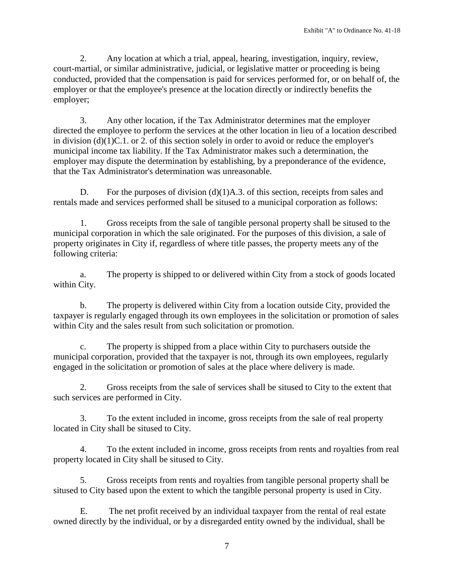2. Any location at which a trial, appeal, hearing, investigation, inquiry, review, court-martial, or similar administrative, judicial, or legislative matter or proceeding is being conducted, provided that the compensation is paid for services performed for, or on behalf of, the employer or that the employee's presence at the location directly or indirectly benefits the employer;

3. Any other location, if the Tax Administrator determines mat the employer directed the employee to perform the services at the other location in lieu of a location described in division (d)(1)C.1. or 2. of this section solely in order to avoid or reduce the employer's municipal income tax liability. If the Tax Administrator makes such a determination, the employer may dispute the determination by establishing, by a preponderance of the evidence, that the Tax Administrator's determination was unreasonable.

D. For the purposes of division (d)(1)A.3. of this section, receipts from sales and rentals made and services performed shall be sitused to a municipal corporation as follows:

1. Gross receipts from the sale of tangible personal property shall be sitused to the municipal corporation in which the sale originated. For the purposes of this division, a sale of property originates in City if, regardless of where title passes, the property meets any of the following criteria:

a. The property is shipped to or delivered within City from a stock of goods located within City.

b. The property is delivered within City from a location outside City, provided the taxpayer is regularly engaged through its own employees in the solicitation or promotion of sales within City and the sales result from such solicitation or promotion.

c. The property is shipped from a place within City to purchasers outside the municipal corporation, provided that the taxpayer is not, through its own employees, regularly engaged in the solicitation or promotion of sales at the place where delivery is made.

2. Gross receipts from the sale of services shall be sitused to City to the extent that such services are performed in City.

3. To the extent included in income, gross receipts from the sale of real property located in City shall be sitused to City.

4. To the extent included in income, gross receipts from rents and royalties from real property located in City shall be sitused to City.

5. Gross receipts from rents and royalties from tangible personal property shall be sitused to City based upon the extent to which the tangible personal property is used in City.

E. The net profit received by an individual taxpayer from the rental of real estate owned directly by the individual, or by a disregarded entity owned by the individual, shall be

7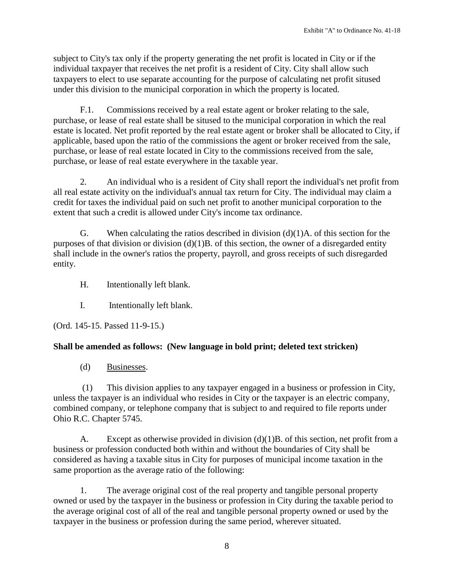subject to City's tax only if the property generating the net profit is located in City or if the individual taxpayer that receives the net profit is a resident of City. City shall allow such taxpayers to elect to use separate accounting for the purpose of calculating net profit sitused under this division to the municipal corporation in which the property is located.

F.1. Commissions received by a real estate agent or broker relating to the sale, purchase, or lease of real estate shall be sitused to the municipal corporation in which the real estate is located. Net profit reported by the real estate agent or broker shall be allocated to City, if applicable, based upon the ratio of the commissions the agent or broker received from the sale, purchase, or lease of real estate located in City to the commissions received from the sale, purchase, or lease of real estate everywhere in the taxable year.

2. An individual who is a resident of City shall report the individual's net profit from all real estate activity on the individual's annual tax return for City. The individual may claim a credit for taxes the individual paid on such net profit to another municipal corporation to the extent that such a credit is allowed under City's income tax ordinance.

G. When calculating the ratios described in division  $(d)(1)A$  of this section for the purposes of that division or division  $(d)(1)B$ . of this section, the owner of a disregarded entity shall include in the owner's ratios the property, payroll, and gross receipts of such disregarded entity.

H. Intentionally left blank.

I. Intentionally left blank.

(Ord. 145-15. Passed 11-9-15.)

# **Shall be amended as follows: (New language in bold print; deleted text stricken)**

(d) Businesses.

(1) This division applies to any taxpayer engaged in a business or profession in City, unless the taxpayer is an individual who resides in City or the taxpayer is an electric company, combined company, or telephone company that is subject to and required to file reports under Ohio R.C. Chapter 5745.

A. Except as otherwise provided in division (d)(1)B. of this section, net profit from a business or profession conducted both within and without the boundaries of City shall be considered as having a taxable situs in City for purposes of municipal income taxation in the same proportion as the average ratio of the following:

1. The average original cost of the real property and tangible personal property owned or used by the taxpayer in the business or profession in City during the taxable period to the average original cost of all of the real and tangible personal property owned or used by the taxpayer in the business or profession during the same period, wherever situated.

8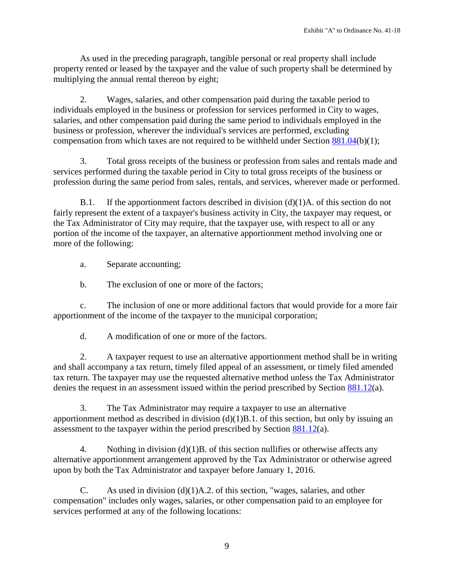As used in the preceding paragraph, tangible personal or real property shall include property rented or leased by the taxpayer and the value of such property shall be determined by multiplying the annual rental thereon by eight;

2. Wages, salaries, and other compensation paid during the taxable period to individuals employed in the business or profession for services performed in City to wages, salaries, and other compensation paid during the same period to individuals employed in the business or profession, wherever the individual's services are performed, excluding compensation from which taxes are not required to be withheld under Section [881.04\(](http://library.amlegal.com/nxt/gateway.dll?f=jumplink$jumplink_x=Advanced$jumplink_vpc=first$jumplink_xsl=querylink.xsl$jumplink_sel=title;path;content-type;home-title;item-bookmark$jumplink_d=ohio(avon_oh)$jumplink_q=%5bfield%20folio-destination-name:)b)(1);

3. Total gross receipts of the business or profession from sales and rentals made and services performed during the taxable period in City to total gross receipts of the business or profession during the same period from sales, rentals, and services, wherever made or performed.

B.1. If the apportionment factors described in division (d)(1)A. of this section do not fairly represent the extent of a taxpayer's business activity in City, the taxpayer may request, or the Tax Administrator of City may require, that the taxpayer use, with respect to all or any portion of the income of the taxpayer, an alternative apportionment method involving one or more of the following:

a. Separate accounting;

b. The exclusion of one or more of the factors;

c. The inclusion of one or more additional factors that would provide for a more fair apportionment of the income of the taxpayer to the municipal corporation;

d. A modification of one or more of the factors.

2. A taxpayer request to use an alternative apportionment method shall be in writing and shall accompany a tax return, timely filed appeal of an assessment, or timely filed amended tax return. The taxpayer may use the requested alternative method unless the Tax Administrator denies the request in an assessment issued within the period prescribed by Section [881.12\(](http://library.amlegal.com/nxt/gateway.dll?f=jumplink$jumplink_x=Advanced$jumplink_vpc=first$jumplink_xsl=querylink.xsl$jumplink_sel=title;path;content-type;home-title;item-bookmark$jumplink_d=ohio(avon_oh)$jumplink_q=%5bfield%20folio-destination-name:)a).

3. The Tax Administrator may require a taxpayer to use an alternative apportionment method as described in division  $(d)(1)B.1$ . of this section, but only by issuing an assessment to the taxpayer within the period prescribed by Section [881.12\(](http://library.amlegal.com/nxt/gateway.dll?f=jumplink$jumplink_x=Advanced$jumplink_vpc=first$jumplink_xsl=querylink.xsl$jumplink_sel=title;path;content-type;home-title;item-bookmark$jumplink_d=ohio(avon_oh)$jumplink_q=%5bfield%20folio-destination-name:)a).

4. Nothing in division (d)(1)B. of this section nullifies or otherwise affects any alternative apportionment arrangement approved by the Tax Administrator or otherwise agreed upon by both the Tax Administrator and taxpayer before January 1, 2016.

C. As used in division (d)(1)A.2. of this section, "wages, salaries, and other compensation" includes only wages, salaries, or other compensation paid to an employee for services performed at any of the following locations: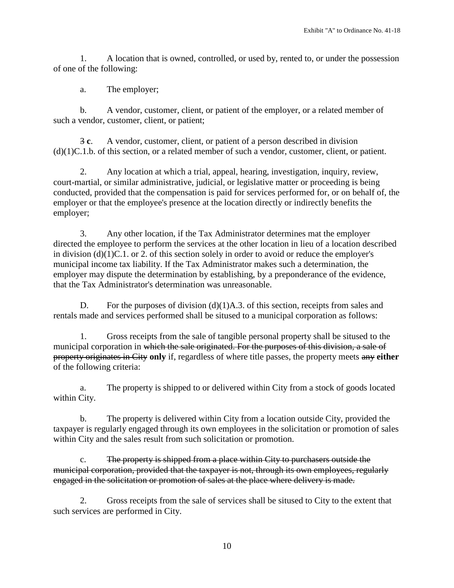1. A location that is owned, controlled, or used by, rented to, or under the possession of one of the following:

a. The employer;

b. A vendor, customer, client, or patient of the employer, or a related member of such a vendor, customer, client, or patient;

3 **c**. A vendor, customer, client, or patient of a person described in division (d)(1)C.1.b. of this section, or a related member of such a vendor, customer, client, or patient.

2. Any location at which a trial, appeal, hearing, investigation, inquiry, review, court-martial, or similar administrative, judicial, or legislative matter or proceeding is being conducted, provided that the compensation is paid for services performed for, or on behalf of, the employer or that the employee's presence at the location directly or indirectly benefits the employer;

3. Any other location, if the Tax Administrator determines mat the employer directed the employee to perform the services at the other location in lieu of a location described in division (d)(1)C.1. or 2. of this section solely in order to avoid or reduce the employer's municipal income tax liability. If the Tax Administrator makes such a determination, the employer may dispute the determination by establishing, by a preponderance of the evidence, that the Tax Administrator's determination was unreasonable.

D. For the purposes of division (d)(1)A.3. of this section, receipts from sales and rentals made and services performed shall be sitused to a municipal corporation as follows:

1. Gross receipts from the sale of tangible personal property shall be sitused to the municipal corporation in which the sale originated. For the purposes of this division, a sale of property originates in City **only** if, regardless of where title passes, the property meets any **either**  of the following criteria:

a. The property is shipped to or delivered within City from a stock of goods located within City.

b. The property is delivered within City from a location outside City, provided the taxpayer is regularly engaged through its own employees in the solicitation or promotion of sales within City and the sales result from such solicitation or promotion.

c. The property is shipped from a place within City to purchasers outside the municipal corporation, provided that the taxpayer is not, through its own employees, regularly engaged in the solicitation or promotion of sales at the place where delivery is made.

2. Gross receipts from the sale of services shall be sitused to City to the extent that such services are performed in City.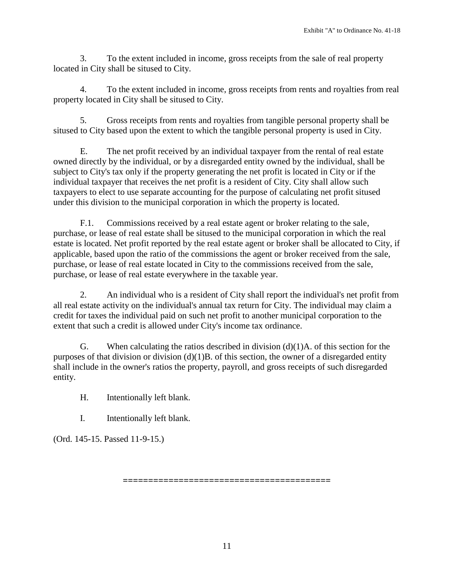3. To the extent included in income, gross receipts from the sale of real property located in City shall be sitused to City.

4. To the extent included in income, gross receipts from rents and royalties from real property located in City shall be sitused to City.

5. Gross receipts from rents and royalties from tangible personal property shall be sitused to City based upon the extent to which the tangible personal property is used in City.

E. The net profit received by an individual taxpayer from the rental of real estate owned directly by the individual, or by a disregarded entity owned by the individual, shall be subject to City's tax only if the property generating the net profit is located in City or if the individual taxpayer that receives the net profit is a resident of City. City shall allow such taxpayers to elect to use separate accounting for the purpose of calculating net profit sitused under this division to the municipal corporation in which the property is located.

F.1. Commissions received by a real estate agent or broker relating to the sale, purchase, or lease of real estate shall be sitused to the municipal corporation in which the real estate is located. Net profit reported by the real estate agent or broker shall be allocated to City, if applicable, based upon the ratio of the commissions the agent or broker received from the sale, purchase, or lease of real estate located in City to the commissions received from the sale, purchase, or lease of real estate everywhere in the taxable year.

2. An individual who is a resident of City shall report the individual's net profit from all real estate activity on the individual's annual tax return for City. The individual may claim a credit for taxes the individual paid on such net profit to another municipal corporation to the extent that such a credit is allowed under City's income tax ordinance.

G. When calculating the ratios described in division  $(d)(1)A$  of this section for the purposes of that division or division  $(d)(1)B$ . of this section, the owner of a disregarded entity shall include in the owner's ratios the property, payroll, and gross receipts of such disregarded entity.

H. Intentionally left blank.

I. Intentionally left blank.

(Ord. 145-15. Passed 11-9-15.)

**=========================================**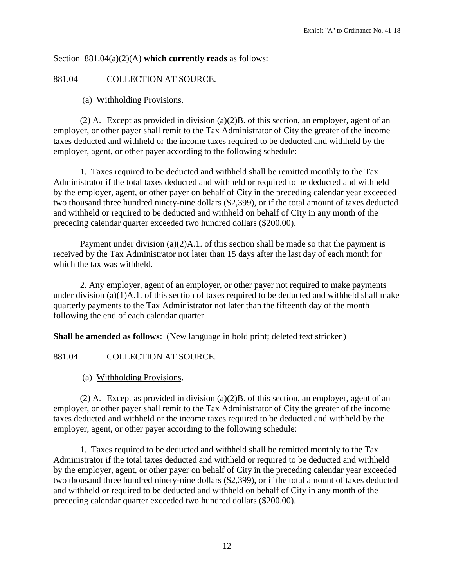Section 881.04(a)(2)(A) **which currently reads** as follows:

881.04 COLLECTION AT SOURCE.

(a) Withholding Provisions.

 $(2)$  A. Except as provided in division  $(a)(2)$ B. of this section, an employer, agent of an employer, or other payer shall remit to the Tax Administrator of City the greater of the income taxes deducted and withheld or the income taxes required to be deducted and withheld by the employer, agent, or other payer according to the following schedule:

1. Taxes required to be deducted and withheld shall be remitted monthly to the Tax Administrator if the total taxes deducted and withheld or required to be deducted and withheld by the employer, agent, or other payer on behalf of City in the preceding calendar year exceeded two thousand three hundred ninety-nine dollars (\$2,399), or if the total amount of taxes deducted and withheld or required to be deducted and withheld on behalf of City in any month of the preceding calendar quarter exceeded two hundred dollars (\$200.00).

Payment under division  $(a)(2)A.1$ . of this section shall be made so that the payment is received by the Tax Administrator not later than 15 days after the last day of each month for which the tax was withheld.

2. Any employer, agent of an employer, or other payer not required to make payments under division (a)(1)A.1. of this section of taxes required to be deducted and withheld shall make quarterly payments to the Tax Administrator not later than the fifteenth day of the month following the end of each calendar quarter.

**Shall be amended as follows**: (New language in bold print; deleted text stricken)

881.04 COLLECTION AT SOURCE.

(a) Withholding Provisions.

(2) A. Except as provided in division (a)(2)B. of this section, an employer, agent of an employer, or other payer shall remit to the Tax Administrator of City the greater of the income taxes deducted and withheld or the income taxes required to be deducted and withheld by the employer, agent, or other payer according to the following schedule:

1. Taxes required to be deducted and withheld shall be remitted monthly to the Tax Administrator if the total taxes deducted and withheld or required to be deducted and withheld by the employer, agent, or other payer on behalf of City in the preceding calendar year exceeded two thousand three hundred ninety-nine dollars (\$2,399), or if the total amount of taxes deducted and withheld or required to be deducted and withheld on behalf of City in any month of the preceding calendar quarter exceeded two hundred dollars (\$200.00).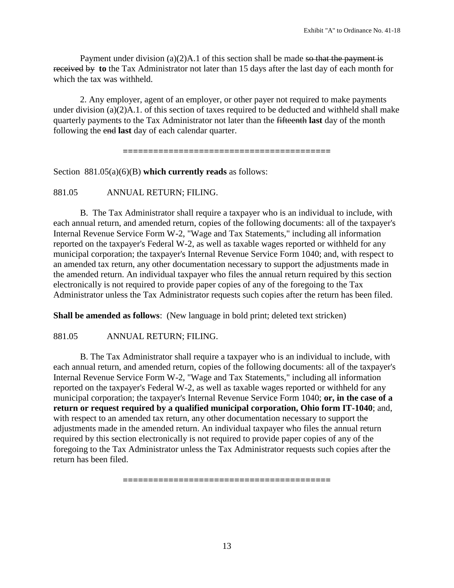Payment under division  $(a)(2)A.1$  of this section shall be made so that the payment is received by **to** the Tax Administrator not later than 15 days after the last day of each month for which the tax was withheld.

2. Any employer, agent of an employer, or other payer not required to make payments under division (a)(2)A.1. of this section of taxes required to be deducted and withheld shall make quarterly payments to the Tax Administrator not later than the fifteenth **last** day of the month following the end **last** day of each calendar quarter.

**=========================================**

Section 881.05(a)(6)(B) **which currently reads** as follows:

881.05 ANNUAL RETURN; FILING.

B. The Tax Administrator shall require a taxpayer who is an individual to include, with each annual return, and amended return, copies of the following documents: all of the taxpayer's Internal Revenue Service Form W-2, "Wage and Tax Statements," including all information reported on the taxpayer's Federal W-2, as well as taxable wages reported or withheld for any municipal corporation; the taxpayer's Internal Revenue Service Form 1040; and, with respect to an amended tax return, any other documentation necessary to support the adjustments made in the amended return. An individual taxpayer who files the annual return required by this section electronically is not required to provide paper copies of any of the foregoing to the Tax Administrator unless the Tax Administrator requests such copies after the return has been filed.

**Shall be amended as follows**: (New language in bold print; deleted text stricken)

881.05 ANNUAL RETURN; FILING.

B. The Tax Administrator shall require a taxpayer who is an individual to include, with each annual return, and amended return, copies of the following documents: all of the taxpayer's Internal Revenue Service Form W-2, "Wage and Tax Statements," including all information reported on the taxpayer's Federal W-2, as well as taxable wages reported or withheld for any municipal corporation; the taxpayer's Internal Revenue Service Form 1040; **or, in the case of a return or request required by a qualified municipal corporation, Ohio form IT-1040**; and, with respect to an amended tax return, any other documentation necessary to support the adjustments made in the amended return. An individual taxpayer who files the annual return required by this section electronically is not required to provide paper copies of any of the foregoing to the Tax Administrator unless the Tax Administrator requests such copies after the return has been filed.

**=========================================**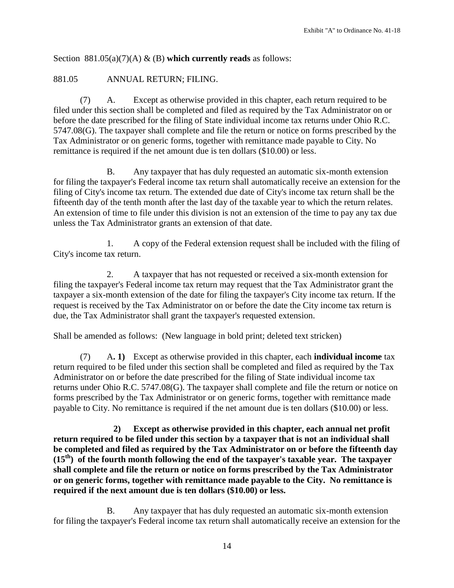Section 881.05(a)(7)(A) & (B) **which currently reads** as follows:

## 881.05 ANNUAL RETURN; FILING.

(7) A. Except as otherwise provided in this chapter, each return required to be filed under this section shall be completed and filed as required by the Tax Administrator on or before the date prescribed for the filing of State individual income tax returns under Ohio R.C. 5747.08(G). The taxpayer shall complete and file the return or notice on forms prescribed by the Tax Administrator or on generic forms, together with remittance made payable to City. No remittance is required if the net amount due is ten dollars (\$10.00) or less.

B. Any taxpayer that has duly requested an automatic six-month extension for filing the taxpayer's Federal income tax return shall automatically receive an extension for the filing of City's income tax return. The extended due date of City's income tax return shall be the fifteenth day of the tenth month after the last day of the taxable year to which the return relates. An extension of time to file under this division is not an extension of the time to pay any tax due unless the Tax Administrator grants an extension of that date.

1. A copy of the Federal extension request shall be included with the filing of City's income tax return.

2. A taxpayer that has not requested or received a six-month extension for filing the taxpayer's Federal income tax return may request that the Tax Administrator grant the taxpayer a six-month extension of the date for filing the taxpayer's City income tax return. If the request is received by the Tax Administrator on or before the date the City income tax return is due, the Tax Administrator shall grant the taxpayer's requested extension.

Shall be amended as follows: (New language in bold print; deleted text stricken)

(7) A**. 1)** Except as otherwise provided in this chapter, each **individual income** tax return required to be filed under this section shall be completed and filed as required by the Tax Administrator on or before the date prescribed for the filing of State individual income tax returns under Ohio R.C. 5747.08(G). The taxpayer shall complete and file the return or notice on forms prescribed by the Tax Administrator or on generic forms, together with remittance made payable to City. No remittance is required if the net amount due is ten dollars (\$10.00) or less.

 **2) Except as otherwise provided in this chapter, each annual net profit return required to be filed under this section by a taxpayer that is not an individual shall be completed and filed as required by the Tax Administrator on or before the fifteenth day (15th) of the fourth month following the end of the taxpayer's taxable year. The taxpayer shall complete and file the return or notice on forms prescribed by the Tax Administrator or on generic forms, together with remittance made payable to the City. No remittance is required if the next amount due is ten dollars (\$10.00) or less.**

B. Any taxpayer that has duly requested an automatic six-month extension for filing the taxpayer's Federal income tax return shall automatically receive an extension for the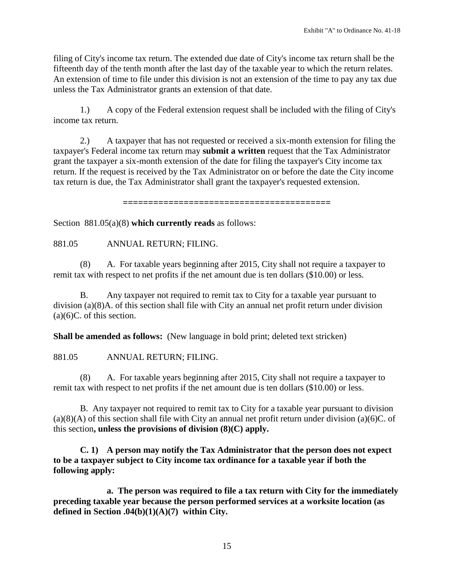filing of City's income tax return. The extended due date of City's income tax return shall be the fifteenth day of the tenth month after the last day of the taxable year to which the return relates. An extension of time to file under this division is not an extension of the time to pay any tax due unless the Tax Administrator grants an extension of that date.

1.) A copy of the Federal extension request shall be included with the filing of City's income tax return.

2.) A taxpayer that has not requested or received a six-month extension for filing the taxpayer's Federal income tax return may **submit a written** request that the Tax Administrator grant the taxpayer a six-month extension of the date for filing the taxpayer's City income tax return. If the request is received by the Tax Administrator on or before the date the City income tax return is due, the Tax Administrator shall grant the taxpayer's requested extension.

**=========================================**

Section 881.05(a)(8) **which currently reads** as follows:

881.05 ANNUAL RETURN; FILING.

(8) A. For taxable years beginning after 2015, City shall not require a taxpayer to remit tax with respect to net profits if the net amount due is ten dollars (\$10.00) or less.

B. Any taxpayer not required to remit tax to City for a taxable year pursuant to division (a)(8)A. of this section shall file with City an annual net profit return under division  $(a)(6)C$ . of this section.

**Shall be amended as follows:** (New language in bold print; deleted text stricken)

881.05 ANNUAL RETURN; FILING.

(8) A. For taxable years beginning after 2015, City shall not require a taxpayer to remit tax with respect to net profits if the net amount due is ten dollars (\$10.00) or less.

B. Any taxpayer not required to remit tax to City for a taxable year pursuant to division  $(a)(8)(A)$  of this section shall file with City an annual net profit return under division  $(a)(6)C$ . of this section**, unless the provisions of division (8)(C) apply.**

**C. 1) A person may notify the Tax Administrator that the person does not expect to be a taxpayer subject to City income tax ordinance for a taxable year if both the following apply:**

**a. The person was required to file a tax return with City for the immediately preceding taxable year because the person performed services at a worksite location (as defined in Section .04(b)(1)(A)(7) within City.**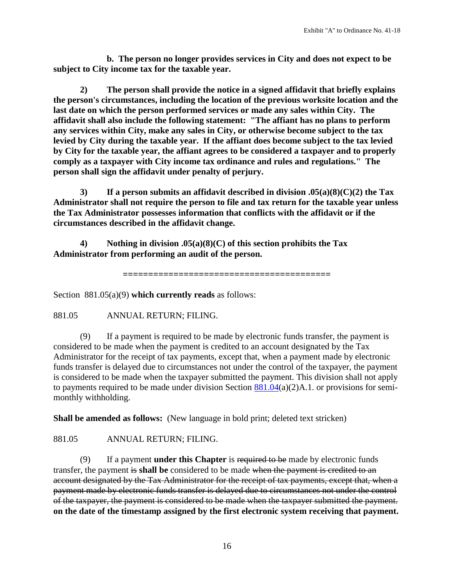**b. The person no longer provides services in City and does not expect to be subject to City income tax for the taxable year.**

**2) The person shall provide the notice in a signed affidavit that briefly explains the person's circumstances, including the location of the previous worksite location and the last date on which the person performed services or made any sales within City. The affidavit shall also include the following statement: "The affiant has no plans to perform any services within City, make any sales in City, or otherwise become subject to the tax levied by City during the taxable year. If the affiant does become subject to the tax levied by City for the taxable year, the affiant agrees to be considered a taxpayer and to properly comply as a taxpayer with City income tax ordinance and rules and regulations." The person shall sign the affidavit under penalty of perjury.**

**3) If a person submits an affidavit described in division .05(a)(8)(C)(2) the Tax Administrator shall not require the person to file and tax return for the taxable year unless the Tax Administrator possesses information that conflicts with the affidavit or if the circumstances described in the affidavit change.**

**4) Nothing in division .05(a)(8)(C) of this section prohibits the Tax Administrator from performing an audit of the person.**

```
=========================================
```
Section 881.05(a)(9) **which currently reads** as follows:

881.05 ANNUAL RETURN; FILING.

(9) If a payment is required to be made by electronic funds transfer, the payment is considered to be made when the payment is credited to an account designated by the Tax Administrator for the receipt of tax payments, except that, when a payment made by electronic funds transfer is delayed due to circumstances not under the control of the taxpayer, the payment is considered to be made when the taxpayer submitted the payment. This division shall not apply to payments required to be made under division Section  $881.04(a)(2)$ A.1. or provisions for semimonthly withholding.

**Shall be amended as follows:** (New language in bold print; deleted text stricken)

881.05 ANNUAL RETURN; FILING.

(9) If a payment **under this Chapter** is required to be made by electronic funds transfer, the payment is **shall be** considered to be made when the payment is credited to an account designated by the Tax Administrator for the receipt of tax payments, except that, when a payment made by electronic funds transfer is delayed due to circumstances not under the control of the taxpayer, the payment is considered to be made when the taxpayer submitted the payment. **on the date of the timestamp assigned by the first electronic system receiving that payment.**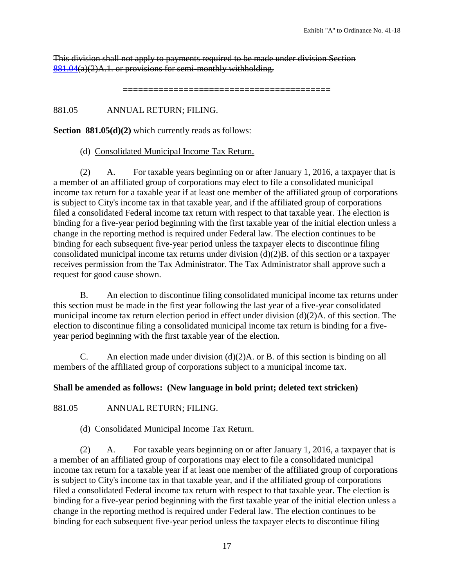This division shall not apply to payments required to be made under division Section  $881.04(a)(2)$  $881.04(a)(2)$ A.1. or provisions for semi-monthly withholding.

**=========================================**

881.05 ANNUAL RETURN; FILING.

**Section 881.05(d)(2)** which currently reads as follows:

#### (d) Consolidated Municipal Income Tax Return.

(2) A. For taxable years beginning on or after January 1, 2016, a taxpayer that is a member of an affiliated group of corporations may elect to file a consolidated municipal income tax return for a taxable year if at least one member of the affiliated group of corporations is subject to City's income tax in that taxable year, and if the affiliated group of corporations filed a consolidated Federal income tax return with respect to that taxable year. The election is binding for a five-year period beginning with the first taxable year of the initial election unless a change in the reporting method is required under Federal law. The election continues to be binding for each subsequent five-year period unless the taxpayer elects to discontinue filing consolidated municipal income tax returns under division (d)(2)B. of this section or a taxpayer receives permission from the Tax Administrator. The Tax Administrator shall approve such a request for good cause shown.

B. An election to discontinue filing consolidated municipal income tax returns under this section must be made in the first year following the last year of a five-year consolidated municipal income tax return election period in effect under division (d)(2)A. of this section. The election to discontinue filing a consolidated municipal income tax return is binding for a fiveyear period beginning with the first taxable year of the election.

C. An election made under division  $(d)(2)A$ . or B. of this section is binding on all members of the affiliated group of corporations subject to a municipal income tax.

#### **Shall be amended as follows: (New language in bold print; deleted text stricken)**

881.05 ANNUAL RETURN; FILING.

#### (d) Consolidated Municipal Income Tax Return.

(2) A. For taxable years beginning on or after January 1, 2016, a taxpayer that is a member of an affiliated group of corporations may elect to file a consolidated municipal income tax return for a taxable year if at least one member of the affiliated group of corporations is subject to City's income tax in that taxable year, and if the affiliated group of corporations filed a consolidated Federal income tax return with respect to that taxable year. The election is binding for a five-year period beginning with the first taxable year of the initial election unless a change in the reporting method is required under Federal law. The election continues to be binding for each subsequent five-year period unless the taxpayer elects to discontinue filing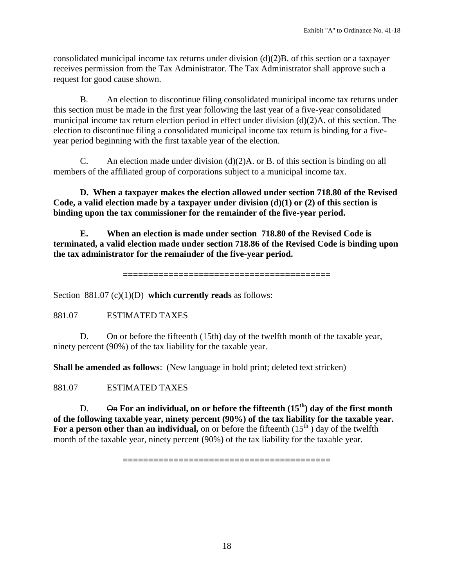consolidated municipal income tax returns under division (d)(2)B. of this section or a taxpayer receives permission from the Tax Administrator. The Tax Administrator shall approve such a request for good cause shown.

B. An election to discontinue filing consolidated municipal income tax returns under this section must be made in the first year following the last year of a five-year consolidated municipal income tax return election period in effect under division (d)(2)A. of this section. The election to discontinue filing a consolidated municipal income tax return is binding for a fiveyear period beginning with the first taxable year of the election.

C. An election made under division  $(d)(2)A$ . or B. of this section is binding on all members of the affiliated group of corporations subject to a municipal income tax.

**D. When a taxpayer makes the election allowed under section 718.80 of the Revised Code, a valid election made by a taxpayer under division (d)(1) or (2) of this section is binding upon the tax commissioner for the remainder of the five-year period.**

**E. When an election is made under section 718.80 of the Revised Code is terminated, a valid election made under section 718.86 of the Revised Code is binding upon the tax administrator for the remainder of the five-year period.**

**=========================================**

Section 881.07 (c)(1)(D) **which currently reads** as follows:

881.07 ESTIMATED TAXES

D. On or before the fifteenth (15th) day of the twelfth month of the taxable year, ninety percent (90%) of the tax liability for the taxable year.

**Shall be amended as follows**: (New language in bold print; deleted text stricken)

881.07 ESTIMATED TAXES

D.  $\Theta$ **h** For an individual, on or before the fifteenth  $(15^{th})$  day of the first month **of the following taxable year, ninety percent (90%) of the tax liability for the taxable year.**  For a person other than an individual, on or before the fifteenth  $(15<sup>th</sup>)$  day of the twelfth month of the taxable year, ninety percent (90%) of the tax liability for the taxable year.

**=========================================**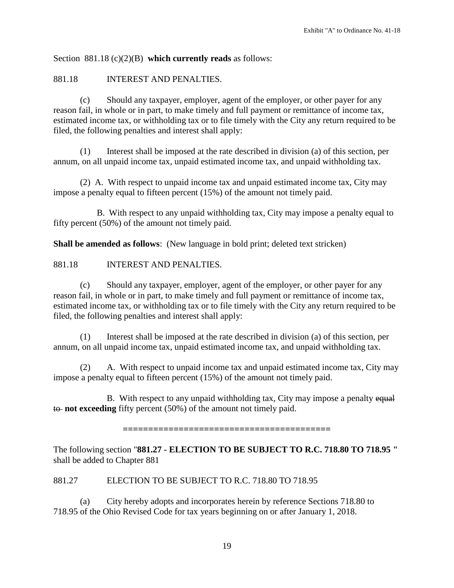Section 881.18 (c)(2)(B) **which currently reads** as follows:

#### 881.18 INTEREST AND PENALTIES.

(c) Should any taxpayer, employer, agent of the employer, or other payer for any reason fail, in whole or in part, to make timely and full payment or remittance of income tax, estimated income tax, or withholding tax or to file timely with the City any return required to be filed, the following penalties and interest shall apply:

(1) Interest shall be imposed at the rate described in division (a) of this section, per annum, on all unpaid income tax, unpaid estimated income tax, and unpaid withholding tax.

(2) A. With respect to unpaid income tax and unpaid estimated income tax, City may impose a penalty equal to fifteen percent (15%) of the amount not timely paid.

B. With respect to any unpaid withholding tax, City may impose a penalty equal to fifty percent (50%) of the amount not timely paid.

**Shall be amended as follows**: (New language in bold print; deleted text stricken)

## 881.18 INTEREST AND PENALTIES.

(c) Should any taxpayer, employer, agent of the employer, or other payer for any reason fail, in whole or in part, to make timely and full payment or remittance of income tax, estimated income tax, or withholding tax or to file timely with the City any return required to be filed, the following penalties and interest shall apply:

(1) Interest shall be imposed at the rate described in division (a) of this section, per annum, on all unpaid income tax, unpaid estimated income tax, and unpaid withholding tax.

(2) A. With respect to unpaid income tax and unpaid estimated income tax, City may impose a penalty equal to fifteen percent (15%) of the amount not timely paid.

B. With respect to any unpaid withholding tax, City may impose a penalty equal to **not exceeding** fifty percent (50%) of the amount not timely paid.

**=========================================**

The following section "**881.27 - ELECTION TO BE SUBJECT TO R.C. 718.80 TO 718.95 "**  shall be added to Chapter 881

#### 881.27 ELECTION TO BE SUBJECT TO R.C. 718.80 TO 718.95

(a) City hereby adopts and incorporates herein by reference Sections 718.80 to 718.95 of the Ohio Revised Code for tax years beginning on or after January 1, 2018.